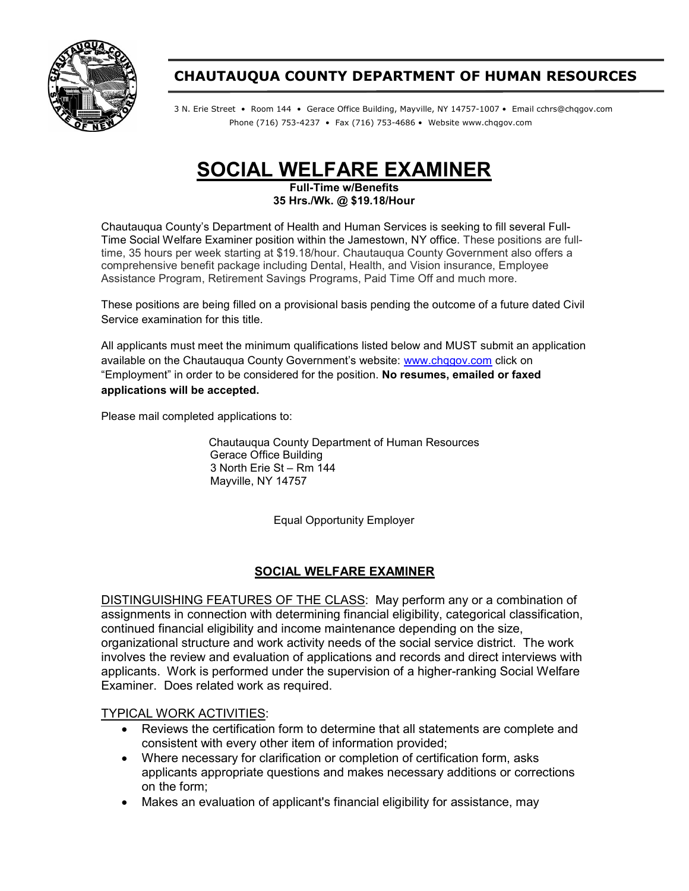

## CHAUTAUQUA COUNTY DEPARTMENT OF HUMAN RESOURCES

3 N. Erie Street • Room 144 • Gerace Office Building, Mayville, NY 14757-1007 • Email cchrs@chqgov.com Phone (716) 753-4237 • Fax (716) 753-4686 • Website www.chqgov.com

# SOCIAL WELFARE EXAMINER

Full-Time w/Benefits 35 Hrs./Wk. @ \$19.18/Hour

Chautauqua County's Department of Health and Human Services is seeking to fill several Full-Time Social Welfare Examiner position within the Jamestown, NY office. These positions are fulltime, 35 hours per week starting at \$19.18/hour. Chautauqua County Government also offers a comprehensive benefit package including Dental, Health, and Vision insurance, Employee Assistance Program, Retirement Savings Programs, Paid Time Off and much more.

These positions are being filled on a provisional basis pending the outcome of a future dated Civil Service examination for this title.

All applicants must meet the minimum qualifications listed below and MUST submit an application available on the Chautauqua County Government's website: www.chqgov.com click on "Employment" in order to be considered for the position. No resumes, emailed or faxed applications will be accepted.

Please mail completed applications to:

Chautauqua County Department of Human Resources Gerace Office Building 3 North Erie St – Rm 144 Mayville, NY 14757

Equal Opportunity Employer

#### SOCIAL WELFARE EXAMINER

DISTINGUISHING FEATURES OF THE CLASS: May perform any or a combination of assignments in connection with determining financial eligibility, categorical classification, continued financial eligibility and income maintenance depending on the size, organizational structure and work activity needs of the social service district. The work involves the review and evaluation of applications and records and direct interviews with applicants. Work is performed under the supervision of a higher-ranking Social Welfare Examiner. Does related work as required.

#### TYPICAL WORK ACTIVITIES:

- Reviews the certification form to determine that all statements are complete and consistent with every other item of information provided;
- Where necessary for clarification or completion of certification form, asks applicants appropriate questions and makes necessary additions or corrections on the form;
- Makes an evaluation of applicant's financial eligibility for assistance, may